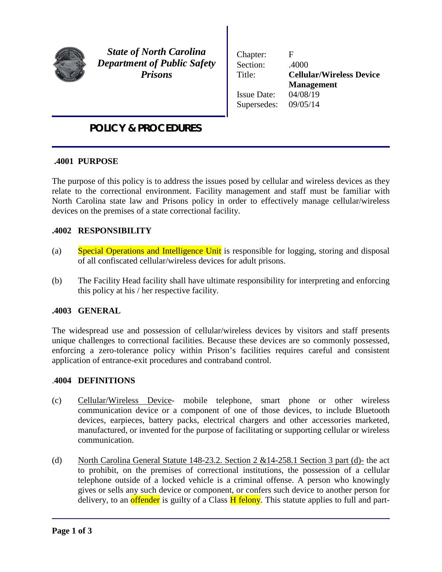

Ϊ

*State of North Carolina Department of Public Safety Prisons*

Chapter: F Section: .4000 Title: **Cellular/Wireless Device Management** Issue Date: 04/08/19 Supersedes: 09/05/14

## *POLICY & PROCEDURES*

#### **.4001 PURPOSE**

The purpose of this policy is to address the issues posed by cellular and wireless devices as they relate to the correctional environment. Facility management and staff must be familiar with North Carolina state law and Prisons policy in order to effectively manage cellular/wireless devices on the premises of a state correctional facility.

#### **.4002 RESPONSIBILITY**

- (a) Special Operations and Intelligence Unit is responsible for logging, storing and disposal of all confiscated cellular/wireless devices for adult prisons.
- (b) The Facility Head facility shall have ultimate responsibility for interpreting and enforcing this policy at his / her respective facility.

#### **.4003 GENERAL**

The widespread use and possession of cellular/wireless devices by visitors and staff presents unique challenges to correctional facilities. Because these devices are so commonly possessed, enforcing a zero-tolerance policy within Prison's facilities requires careful and consistent application of entrance-exit procedures and contraband control.

#### .**4004 DEFINITIONS**

- (c) Cellular/Wireless Device- mobile telephone, smart phone or other wireless communication device or a component of one of those devices, to include Bluetooth devices, earpieces, battery packs, electrical chargers and other accessories marketed, manufactured, or invented for the purpose of facilitating or supporting cellular or wireless communication.
- (d) North Carolina General Statute 148-23.2. Section 2  $&14$ -258.1 Section 3 part (d)- the act to prohibit, on the premises of correctional institutions, the possession of a cellular telephone outside of a locked vehicle is a criminal offense. A person who knowingly gives or sells any such device or component, or confers such device to another person for delivery, to an offender is guilty of a Class H felony. This statute applies to full and part-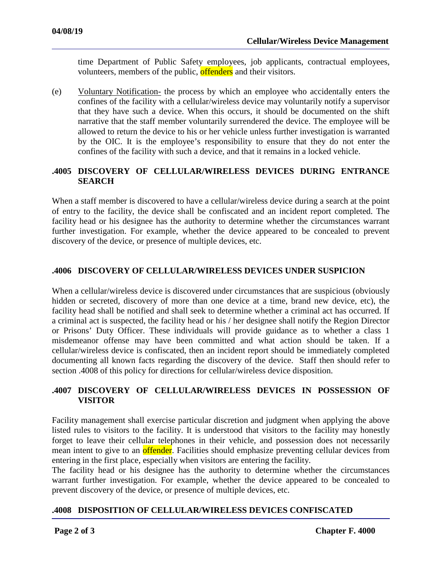time Department of Public Safety employees, job applicants, contractual employees, volunteers, members of the public, offenders and their visitors.

(e) Voluntary Notification- the process by which an employee who accidentally enters the confines of the facility with a cellular/wireless device may voluntarily notify a supervisor that they have such a device. When this occurs, it should be documented on the shift narrative that the staff member voluntarily surrendered the device. The employee will be allowed to return the device to his or her vehicle unless further investigation is warranted by the OIC. It is the employee's responsibility to ensure that they do not enter the confines of the facility with such a device, and that it remains in a locked vehicle.

#### **.4005 DISCOVERY OF CELLULAR/WIRELESS DEVICES DURING ENTRANCE SEARCH**

When a staff member is discovered to have a cellular/wireless device during a search at the point of entry to the facility, the device shall be confiscated and an incident report completed. The facility head or his designee has the authority to determine whether the circumstances warrant further investigation. For example, whether the device appeared to be concealed to prevent discovery of the device, or presence of multiple devices, etc.

#### **.4006 DISCOVERY OF CELLULAR/WIRELESS DEVICES UNDER SUSPICION**

When a cellular/wireless device is discovered under circumstances that are suspicious (obviously hidden or secreted, discovery of more than one device at a time, brand new device, etc), the facility head shall be notified and shall seek to determine whether a criminal act has occurred. If a criminal act is suspected, the facility head or his / her designee shall notify the Region Director or Prisons' Duty Officer. These individuals will provide guidance as to whether a class 1 misdemeanor offense may have been committed and what action should be taken. If a cellular/wireless device is confiscated, then an incident report should be immediately completed documenting all known facts regarding the discovery of the device. Staff then should refer to section .4008 of this policy for directions for cellular/wireless device disposition.

#### **.4007 DISCOVERY OF CELLULAR/WIRELESS DEVICES IN POSSESSION OF VISITOR**

Facility management shall exercise particular discretion and judgment when applying the above listed rules to visitors to the facility. It is understood that visitors to the facility may honestly forget to leave their cellular telephones in their vehicle, and possession does not necessarily mean intent to give to an **offender**. Facilities should emphasize preventing cellular devices from entering in the first place, especially when visitors are entering the facility.

The facility head or his designee has the authority to determine whether the circumstances warrant further investigation. For example, whether the device appeared to be concealed to prevent discovery of the device, or presence of multiple devices, etc.

#### **.4008 DISPOSITION OF CELLULAR/WIRELESS DEVICES CONFISCATED**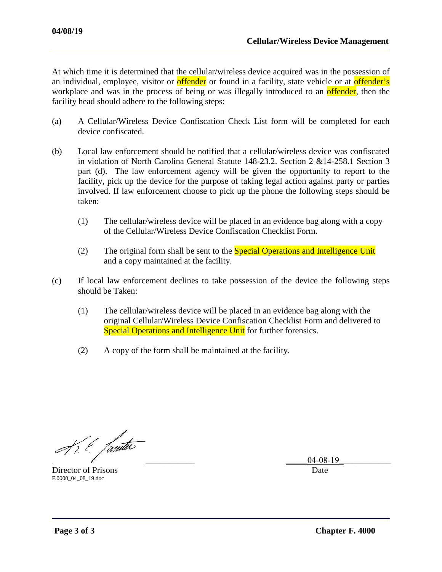At which time it is determined that the cellular/wireless device acquired was in the possession of an individual, employee, visitor or **offender** or found in a facility, state vehicle or at **offender's** workplace and was in the process of being or was illegally introduced to an **offender**, then the facility head should adhere to the following steps:

- (a) A Cellular/Wireless Device Confiscation Check List form will be completed for each device confiscated.
- (b) Local law enforcement should be notified that a cellular/wireless device was confiscated in violation of North Carolina General Statute 148-23.2. Section 2 &14-258.1 Section 3 part (d). The law enforcement agency will be given the opportunity to report to the facility, pick up the device for the purpose of taking legal action against party or parties involved. If law enforcement choose to pick up the phone the following steps should be taken:
	- (1) The cellular/wireless device will be placed in an evidence bag along with a copy of the Cellular/Wireless Device Confiscation Checklist Form.
	- (2) The original form shall be sent to the **Special Operations and Intelligence Unit** and a copy maintained at the facility.
- (c) If local law enforcement declines to take possession of the device the following steps should be Taken:
	- (1) The cellular/wireless device will be placed in an evidence bag along with the original Cellular/Wireless Device Confiscation Checklist Form and delivered to Special Operations and Intelligence Unit for further forensics.
	- (2) A copy of the form shall be maintained at the facility.

 $\pi$  . Tanta

Director of Prisons Date **Director of Prisons** F.0000\_04\_08\_19.doc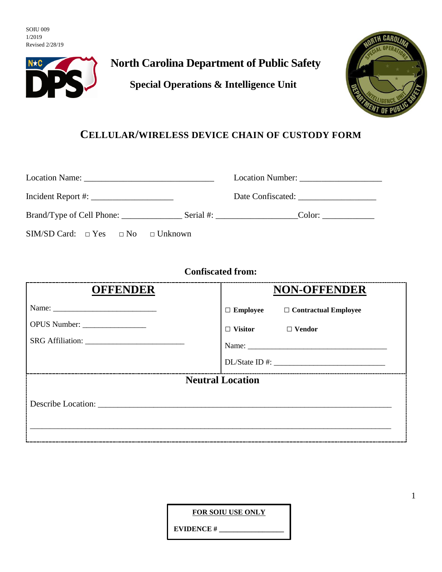SOIU 009 1/2019 Revised 2/28/19



# **North Carolina Department of Public Safety**

**Special Operations & Intelligence Unit**



## **CELLULAR/WIRELESS DEVICE CHAIN OF CUSTODY FORM**

|                                              | Location Number: |
|----------------------------------------------|------------------|
|                                              |                  |
|                                              |                  |
| $SIM/SD Card: \Box Yes \Box No \Box Unknown$ |                  |

## **Confiscated from:**

| <b>OFFENDER</b>         | <b>NON-OFFENDER</b>                         |  |  |
|-------------------------|---------------------------------------------|--|--|
|                         | $\Box$ Employee $\Box$ Contractual Employee |  |  |
|                         | $\Box$ Visitor $\Box$ Vendor                |  |  |
|                         |                                             |  |  |
|                         |                                             |  |  |
| <b>Neutral Location</b> |                                             |  |  |
|                         |                                             |  |  |
|                         |                                             |  |  |

**FOR SOIU USE ONLY**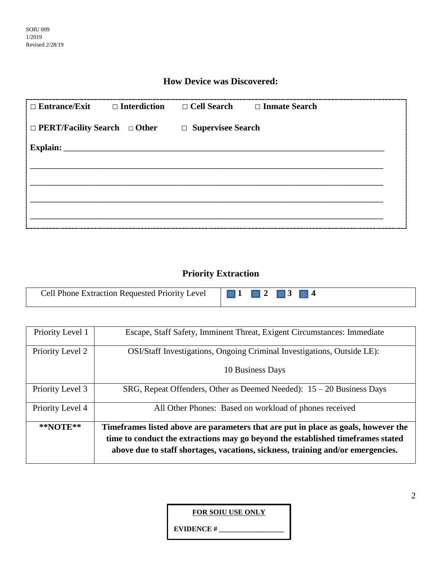### **How Device was Discovered:**

| $\Box$ Entrance/Exit $\Box$ Interdiction $\Box$ Cell Search $\Box$ Inmate Search |  |
|----------------------------------------------------------------------------------|--|
| $\Box$ PERT/Facility Search $\Box$ Other $\Box$ Supervisee Search                |  |
| <b>Explain:</b>                                                                  |  |
|                                                                                  |  |
|                                                                                  |  |
|                                                                                  |  |
|                                                                                  |  |

### **Priority Extraction**

|--|--|

| Priority Level 1 | Escape, Staff Safety, Imminent Threat, Exigent Circumstances: Immediate            |
|------------------|------------------------------------------------------------------------------------|
| Priority Level 2 | OSI/Staff Investigations, Ongoing Criminal Investigations, Outside LE):            |
|                  | 10 Business Days                                                                   |
| Priority Level 3 | SRG, Repeat Offenders, Other as Deemed Needed): $15 - 20$ Business Days            |
| Priority Level 4 | All Other Phones: Based on workload of phones received                             |
| $*$ NOTE $**$    | Timeframes listed above are parameters that are put in place as goals, however the |
|                  | time to conduct the extractions may go beyond the established timeframes stated    |
|                  | above due to staff shortages, vacations, sickness, training and/or emergencies.    |

**FOR SOIU USE ONLY**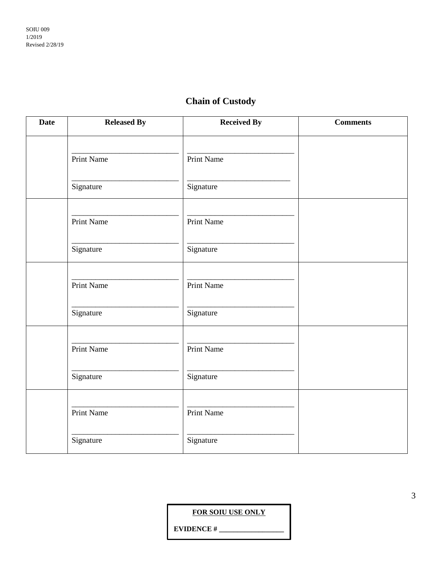# **Chain of Custody**

| <b>Date</b> | <b>Released By</b> | <b>Received By</b> | <b>Comments</b> |
|-------------|--------------------|--------------------|-----------------|
|             | Print Name         | Print Name         |                 |
|             | Signature          | Signature          |                 |
|             | Print Name         | Print Name         |                 |
|             | Signature          | Signature          |                 |
|             | Print Name         | Print Name         |                 |
|             | Signature          | Signature          |                 |
|             | Print Name         | Print Name         |                 |
|             | Signature          | Signature          |                 |
|             | Print Name         | Print Name         |                 |
|             | Signature          | Signature          |                 |

**FOR SOIU USE ONLY**

**EVIDENCE #**